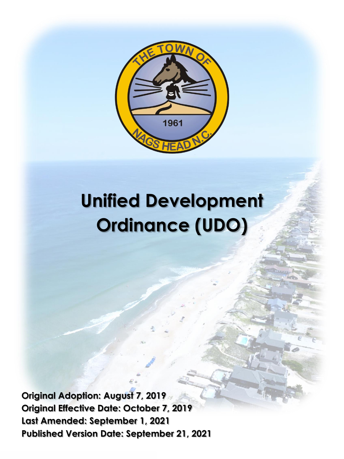

# **Unified Development Ordinance (UDO)**

**Original Adoption: August 7, 2019 Original Effective Date: October 7, 2019 Last Amended: September 1, 2021 Published Version Date: September 21, 2021**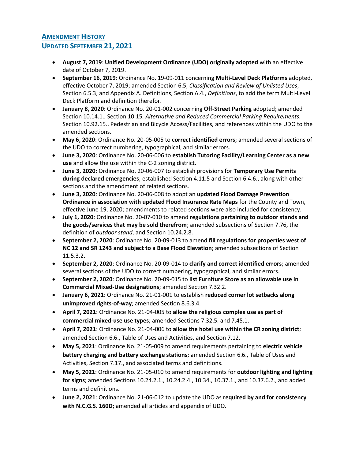## **AMENDMENT HISTORY**

#### **UPDATED SEPTEMBER 21, 2021**

- **August 7, 2019**: **Unified Development Ordinance (UDO) originally adopted** with an effective date of October 7, 2019.
- **September 16, 2019**: Ordinance No. 19-09-011 concerning **Multi-Level Deck Platforms** adopted, effective October 7, 2019; amended Section 6.5, *Classification and Review of Unlisted Uses*, Section 6.5.3, and Appendix A. Definitions, Section A.4., *Definitions*, to add the term Multi-Level Deck Platform and definition therefor.
- **January 8, 2020**: Ordinance No. 20-01-002 concerning **Off-Street Parking** adopted; amended Section 10.14.1., Section 10.15, *Alternative and Reduced Commercial Parking Requirements*, Section 10.92.15., Pedestrian and Bicycle Access/Facilities, and references within the UDO to the amended sections.
- **May 6, 2020**: Ordinance No. 20-05-005 to **correct identified errors**; amended several sections of the UDO to correct numbering, typographical, and similar errors.
- **June 3, 2020**: Ordinance No. 20-06-006 to **establish Tutoring Facility/Learning Center as a new use** and allow the use within the C-2 zoning district.
- **June 3, 2020**: Ordinance No. 20-06-007 to establish provisions for **Temporary Use Permits during declared emergencies**; established Section 4.11.5 and Section 6.4.6., along with other sections and the amendment of related sections.
- **June 3, 2020**: Ordinance No. 20-06-008 to adopt an **updated Flood Damage Prevention Ordinance in association with updated Flood Insurance Rate Maps** for the County and Town, effective June 19, 2020; amendments to related sections were also included for consistency.
- **July 1, 2020**: Ordinance No. 20-07-010 to amend **regulations pertaining to outdoor stands and the goods/services that may be sold therefrom**; amended subsections of Section 7.76, the definition of *outdoor stand*, and Section 10.24.2.8.
- **September 2, 2020**: Ordinance No. 20-09-013 to amend **fill regulations for properties west of NC 12 and SR 1243 and subject to a Base Flood Elevation**; amended subsections of Section 11.5.3.2.
- **September 2, 2020**: Ordinance No. 20-09-014 to **clarify and correct identified errors**; amended several sections of the UDO to correct numbering, typographical, and similar errors.
- **September 2, 2020**: Ordinance No. 20-09-015 to **list Furniture Store as an allowable use in Commercial Mixed-Use designations**; amended Section 7.32.2.
- **January 6, 2021**: Ordinance No. 21-01-001 to establish **reduced corner lot setbacks along unimproved rights-of-way**; amended Section 8.6.3.4.
- **April 7, 2021**: Ordinance No. 21-04-005 to **allow the religious complex use as part of commercial mixed-use use types**; amended Sections 7.32.5. and 7.45.1.
- **April 7, 2021**: Ordinance No. 21-04-006 to **allow the hotel use within the CR zoning district**; amended Section 6.6., Table of Uses and Activities, and Section 7.12.
- **May 5, 2021**: Ordinance No. 21-05-009 to amend requirements pertaining to **electric vehicle battery charging and battery exchange stations**; amended Section 6.6., Table of Uses and Activities, Section 7.17., and associated terms and definitions.
- **May 5, 2021**: Ordinance No. 21-05-010 to amend requirements for **outdoor lighting and lighting for signs**; amended Sections 10.24.2.1., 10.24.2.4., 10.34., 10.37.1., and 10.37.6.2., and added terms and definitions.
- **June 2, 2021**: Ordinance No. 21-06-012 to update the UDO as **required by and for consistency with N.C.G.S. 160D**; amended all articles and appendix of UDO.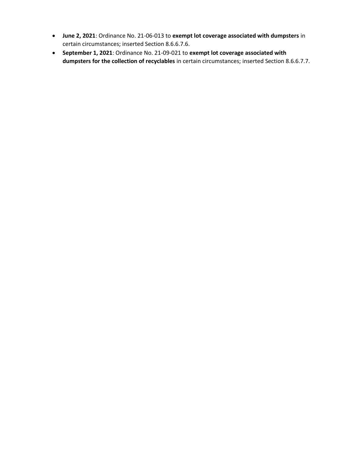- **June 2, 2021**: Ordinance No. 21-06-013 to **exempt lot coverage associated with dumpsters** in certain circumstances; inserted Section 8.6.6.7.6.
- **September 1, 2021**: Ordinance No. 21-09-021 to **exempt lot coverage associated with dumpsters for the collection of recyclables** in certain circumstances; inserted Section 8.6.6.7.7.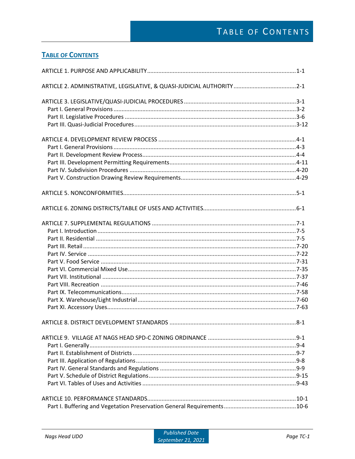### **TABLE OF CONTENTS**

| ARTICLE 2. ADMINISTRATIVE, LEGISLATIVE, & QUASI-JUDICIAL AUTHORITY2-1 |  |
|-----------------------------------------------------------------------|--|
|                                                                       |  |
|                                                                       |  |
|                                                                       |  |
|                                                                       |  |
|                                                                       |  |
|                                                                       |  |
|                                                                       |  |
|                                                                       |  |
|                                                                       |  |
|                                                                       |  |
|                                                                       |  |
|                                                                       |  |
|                                                                       |  |
|                                                                       |  |
|                                                                       |  |
|                                                                       |  |
|                                                                       |  |
|                                                                       |  |
|                                                                       |  |
|                                                                       |  |
|                                                                       |  |
|                                                                       |  |
|                                                                       |  |
|                                                                       |  |
|                                                                       |  |
|                                                                       |  |
|                                                                       |  |
|                                                                       |  |
|                                                                       |  |
|                                                                       |  |
|                                                                       |  |
|                                                                       |  |
|                                                                       |  |
|                                                                       |  |